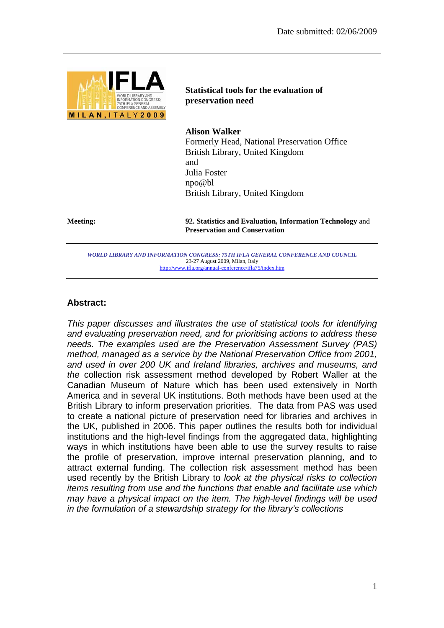

**Statistical tools for the evaluation of preservation need** 

**Alison Walker**  Formerly Head, National Preservation Office British Library, United Kingdom and Julia Foster npo@bl British Library, United Kingdom

**Meeting: 92. Statistics and Evaluation, Information Technology** and **Preservation and Conservation**

*WORLD LIBRARY AND INFORMATION CONGRESS: 75TH IFLA GENERAL CONFERENCE AND COUNCIL*  23-27 August 2009, Milan, Italy http://www.ifla.org/annual-conference/ifla75/index.htm

## **Abstract:**

*This paper discusses and illustrates the use of statistical tools for identifying and evaluating preservation need, and for prioritising actions to address these needs. The examples used are the Preservation Assessment Survey (PAS) method, managed as a service by the National Preservation Office from 2001, and used in over 200 UK and Ireland libraries, archives and museums, and the* collection risk assessment method developed by Robert Waller at the Canadian Museum of Nature which has been used extensively in North America and in several UK institutions. Both methods have been used at the British Library to inform preservation priorities. The data from PAS was used to create a national picture of preservation need for libraries and archives in the UK, published in 2006. This paper outlines the results both for individual institutions and the high-level findings from the aggregated data, highlighting ways in which institutions have been able to use the survey results to raise the profile of preservation, improve internal preservation planning, and to attract external funding. The collection risk assessment method has been used recently by the British Library to *look at the physical risks to collection items resulting from use and the functions that enable and facilitate use which may have a physical impact on the item. The high-level findings will be used in the formulation of a stewardship strategy for the library's collections*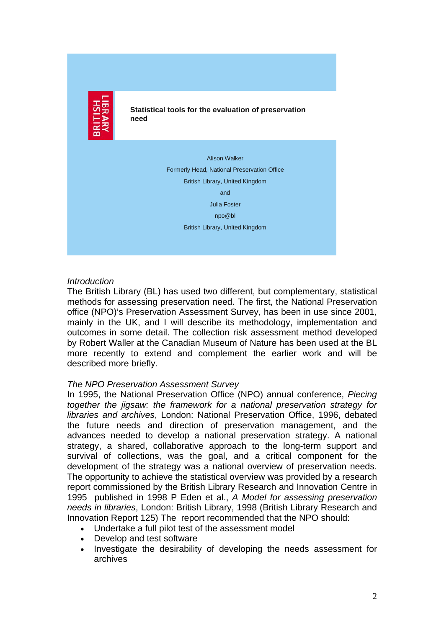

**Statistical tools for the evaluation of preservation need**

> Alison Walker Formerly Head, National Preservation Office British Library, United Kingdom and Julia Foster npo@bl British Library, United Kingdom

## *Introduction*

The British Library (BL) has used two different, but complementary, statistical methods for assessing preservation need. The first, the National Preservation office (NPO)'s Preservation Assessment Survey, has been in use since 2001, mainly in the UK, and I will describe its methodology, implementation and outcomes in some detail. The collection risk assessment method developed by Robert Waller at the Canadian Museum of Nature has been used at the BL more recently to extend and complement the earlier work and will be described more briefly.

## *The NPO Preservation Assessment Survey*

In 1995, the National Preservation Office (NPO) annual conference, *Piecing together the jigsaw: the framework for a national preservation strategy for libraries and archives*, London: National Preservation Office, 1996, debated the future needs and direction of preservation management, and the advances needed to develop a national preservation strategy. A national strategy, a shared, collaborative approach to the long-term support and survival of collections, was the goal, and a critical component for the development of the strategy was a national overview of preservation needs. The opportunity to achieve the statistical overview was provided by a research report commissioned by the British Library Research and Innovation Centre in 1995 published in 1998 P Eden et al., *A Model for assessing preservation needs in libraries*, London: British Library, 1998 (British Library Research and Innovation Report 125) The report recommended that the NPO should:

- Undertake a full pilot test of the assessment model
- Develop and test software
- Investigate the desirability of developing the needs assessment for archives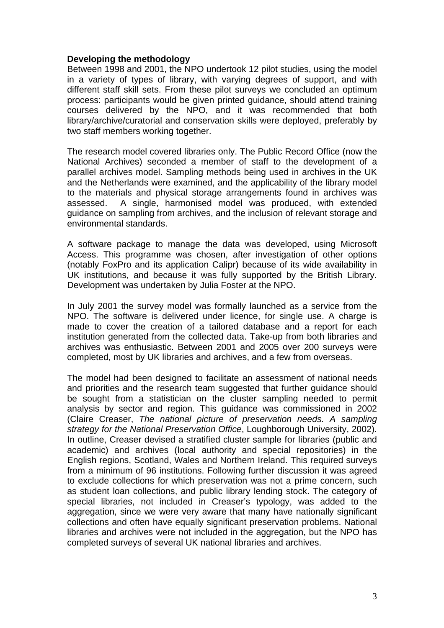## **Developing the methodology**

Between 1998 and 2001, the NPO undertook 12 pilot studies, using the model in a variety of types of library, with varying degrees of support, and with different staff skill sets. From these pilot surveys we concluded an optimum process: participants would be given printed guidance, should attend training courses delivered by the NPO, and it was recommended that both library/archive/curatorial and conservation skills were deployed, preferably by two staff members working together.

The research model covered libraries only. The Public Record Office (now the National Archives) seconded a member of staff to the development of a parallel archives model. Sampling methods being used in archives in the UK and the Netherlands were examined, and the applicability of the library model to the materials and physical storage arrangements found in archives was assessed. A single, harmonised model was produced, with extended guidance on sampling from archives, and the inclusion of relevant storage and environmental standards.

A software package to manage the data was developed, using Microsoft Access. This programme was chosen, after investigation of other options (notably FoxPro and its application Calipr) because of its wide availability in UK institutions, and because it was fully supported by the British Library. Development was undertaken by Julia Foster at the NPO.

In July 2001 the survey model was formally launched as a service from the NPO. The software is delivered under licence, for single use. A charge is made to cover the creation of a tailored database and a report for each institution generated from the collected data. Take-up from both libraries and archives was enthusiastic. Between 2001 and 2005 over 200 surveys were completed, most by UK libraries and archives, and a few from overseas.

The model had been designed to facilitate an assessment of national needs and priorities and the research team suggested that further guidance should be sought from a statistician on the cluster sampling needed to permit analysis by sector and region. This guidance was commissioned in 2002 (Claire Creaser, *The national picture of preservation needs. A sampling strategy for the National Preservation Office*, Loughborough University, 2002). In outline, Creaser devised a stratified cluster sample for libraries (public and academic) and archives (local authority and special repositories) in the English regions, Scotland, Wales and Northern Ireland. This required surveys from a minimum of 96 institutions. Following further discussion it was agreed to exclude collections for which preservation was not a prime concern, such as student loan collections, and public library lending stock. The category of special libraries, not included in Creaser's typology, was added to the aggregation, since we were very aware that many have nationally significant collections and often have equally significant preservation problems. National libraries and archives were not included in the aggregation, but the NPO has completed surveys of several UK national libraries and archives.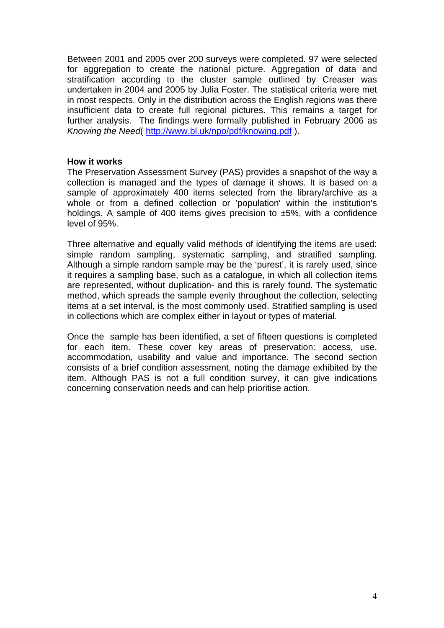Between 2001 and 2005 over 200 surveys were completed. 97 were selected for aggregation to create the national picture. Aggregation of data and stratification according to the cluster sample outlined by Creaser was undertaken in 2004 and 2005 by Julia Foster. The statistical criteria were met in most respects. Only in the distribution across the English regions was there insufficient data to create full regional pictures. This remains a target for further analysis. The findings were formally published in February 2006 as *Knowing the Need*( http://www.bl.uk/npo/pdf/knowing.pdf ).

## **How it works**

The Preservation Assessment Survey (PAS) provides a snapshot of the way a collection is managed and the types of damage it shows. It is based on a sample of approximately 400 items selected from the library/archive as a whole or from a defined collection or 'population' within the institution's holdings. A sample of 400 items gives precision to  $\pm 5\%$ , with a confidence level of 95%.

Three alternative and equally valid methods of identifying the items are used: simple random sampling, systematic sampling, and stratified sampling. Although a simple random sample may be the 'purest', it is rarely used, since it requires a sampling base, such as a catalogue, in which all collection items are represented, without duplication- and this is rarely found. The systematic method, which spreads the sample evenly throughout the collection, selecting items at a set interval, is the most commonly used. Stratified sampling is used in collections which are complex either in layout or types of material.

Once the sample has been identified, a set of fifteen questions is completed for each item. These cover key areas of preservation: access, use, accommodation, usability and value and importance. The second section consists of a brief condition assessment, noting the damage exhibited by the item. Although PAS is not a full condition survey, it can give indications concerning conservation needs and can help prioritise action.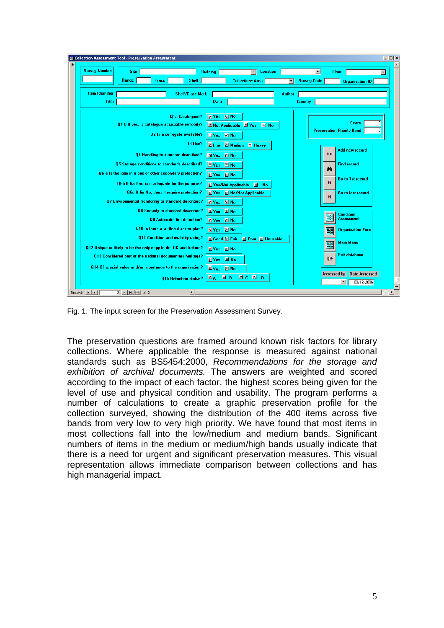

Fig. 1. The input screen for the Preservation Assessment Survey.

The preservation questions are framed around known risk factors for library collections. Where applicable the response is measured against national standards such as BS5454:2000, *Recommendations for the storage and exhibition of archival documents.* The answers are weighted and scored according to the impact of each factor, the highest scores being given for the level of use and physical condition and usability. The program performs a number of calculations to create a graphic preservation profile for the collection surveyed, showing the distribution of the 400 items across five bands from very low to very high priority. We have found that most items in most collections fall into the low/medium and medium bands. Significant numbers of items in the medium or medium/high bands usually indicate that there is a need for urgent and significant preservation measures. This visual representation allows immediate comparison between collections and has high managerial impact.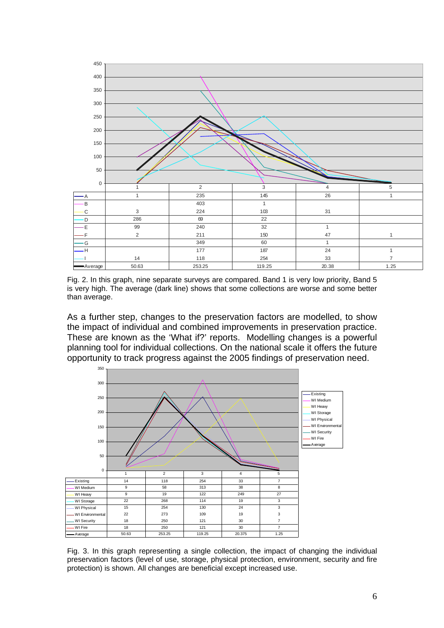

Fig. 2. In this graph, nine separate surveys are compared. Band 1 is very low priority, Band 5 is very high. The average (dark line) shows that some collections are worse and some better than average.

As a further step, changes to the preservation factors are modelled, to show the impact of individual and combined improvements in preservation practice. These are known as the 'What if?' reports. Modelling changes is a powerful planning tool for individual collections. On the national scale it offers the future opportunity to track progress against the 2005 findings of preservation need.



Fig. 3. In this graph representing a single collection, the impact of changing the individual preservation factors (level of use, storage, physical protection, environment, security and fire protection) is shown. All changes are beneficial except increased use.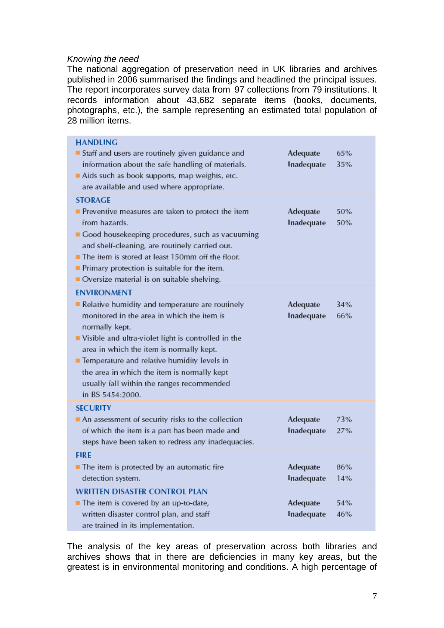## *Knowing the need*

The national aggregation of preservation need in UK libraries and archives published in 2006 summarised the findings and headlined the principal issues. The report incorporates survey data from 97 collections from 79 institutions. It records information about 43,682 separate items (books, documents, photographs, etc.), the sample representing an estimated total population of 28 million items.

| <b>HANDLING</b><br>Staff and users are routinely given guidance and<br>information about the safe handling of materials.<br>Aids such as book supports, map weights, etc.<br>are available and used where appropriate.                                                                                                                                                                                     | Adequate<br>Inadequate | 65%<br>35% |
|------------------------------------------------------------------------------------------------------------------------------------------------------------------------------------------------------------------------------------------------------------------------------------------------------------------------------------------------------------------------------------------------------------|------------------------|------------|
| <b>STORAGE</b><br>Preventive measures are taken to protect the item<br>from hazards.<br>Good housekeeping procedures, such as vacuuming<br>and shelf-cleaning, are routinely carried out.<br>The item is stored at least 150mm off the floor.<br>$\blacksquare$ Primary protection is suitable for the item.<br>Oversize material is on suitable shelving.                                                 | Adequate<br>Inadequate | 50%<br>50% |
| <b>ENVIRONMENT</b><br>Relative humidity and temperature are routinely<br>monitored in the area in which the item is<br>normally kept.<br>Visible and ultra-violet light is controlled in the<br>area in which the item is normally kept.<br>■ Temperature and relative humidity levels in<br>the area in which the item is normally kept<br>usually fall within the ranges recommended<br>in BS 5454:2000. | Adequate<br>Inadequate | 34%<br>66% |
| <b>SECURITY</b><br>An assessment of security risks to the collection<br>of which the item is a part has been made and<br>steps have been taken to redress any inadequacies.                                                                                                                                                                                                                                | Adequate<br>Inadequate | 73%<br>27% |
| <b>FIRE</b><br>The item is protected by an automatic fire<br>detection system.                                                                                                                                                                                                                                                                                                                             | Adequate<br>Inadequate | 86%<br>14% |
| <b>WRITTEN DISASTER CONTROL PLAN</b><br>The item is covered by an up-to-date,<br>written disaster control plan, and staff<br>are trained in its implementation.                                                                                                                                                                                                                                            | Adequate<br>Inadequate | 54%<br>46% |

The analysis of the key areas of preservation across both libraries and archives shows that in there are deficiencies in many key areas, but the greatest is in environmental monitoring and conditions. A high percentage of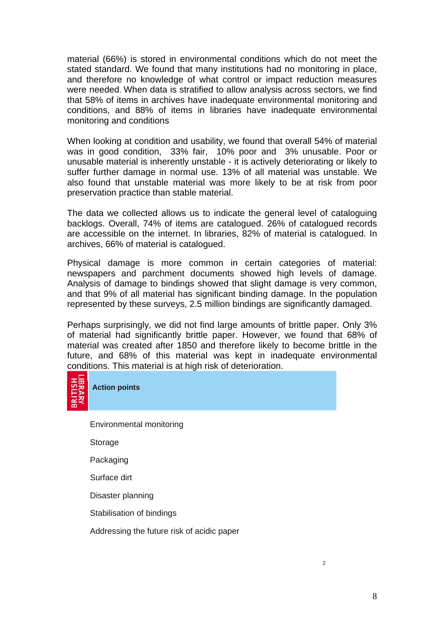material (66%) is stored in environmental conditions which do not meet the stated standard. We found that many institutions had no monitoring in place, and therefore no knowledge of what control or impact reduction measures were needed. When data is stratified to allow analysis across sectors, we find that 58% of items in archives have inadequate environmental monitoring and conditions, and 88% of items in libraries have inadequate environmental monitoring and conditions

When looking at condition and usability, we found that overall 54% of material was in good condition, 33% fair, 10% poor and 3% unusable. Poor or unusable material is inherently unstable - it is actively deteriorating or likely to suffer further damage in normal use. 13% of all material was unstable. We also found that unstable material was more likely to be at risk from poor preservation practice than stable material.

The data we collected allows us to indicate the general level of cataloguing backlogs. Overall, 74% of items are catalogued. 26% of catalogued records are accessible on the internet. In libraries, 82% of material is catalogued. In archives, 66% of material is catalogued.

Physical damage is more common in certain categories of material: newspapers and parchment documents showed high levels of damage. Analysis of damage to bindings showed that slight damage is very common, and that 9% of all material has significant binding damage. In the population represented by these surveys, 2.5 million bindings are significantly damaged.

Perhaps surprisingly, we did not find large amounts of brittle paper. Only 3% of material had significantly brittle paper. However, we found that 68% of material was created after 1850 and therefore likely to become brittle in the future, and 68% of this material was kept in inadequate environmental conditions. This material is at high risk of deterioration.



**Action points**

Environmental monitoring

Storage

Packaging

Surface dirt

Disaster planning

Stabilisation of bindings

Addressing the future risk of acidic paper

 $\overline{2}$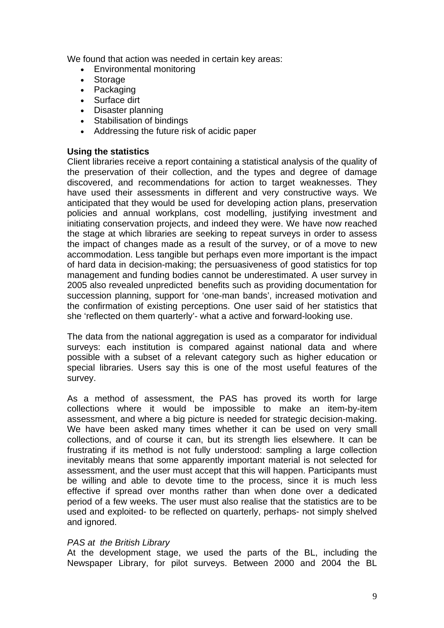We found that action was needed in certain key areas:

- Environmental monitoring
- Storage
- Packaging
- Surface dirt
- Disaster planning
- Stabilisation of bindings
- Addressing the future risk of acidic paper

## **Using the statistics**

Client libraries receive a report containing a statistical analysis of the quality of the preservation of their collection, and the types and degree of damage discovered, and recommendations for action to target weaknesses. They have used their assessments in different and very constructive ways. We anticipated that they would be used for developing action plans, preservation policies and annual workplans, cost modelling, justifying investment and initiating conservation projects, and indeed they were. We have now reached the stage at which libraries are seeking to repeat surveys in order to assess the impact of changes made as a result of the survey, or of a move to new accommodation. Less tangible but perhaps even more important is the impact of hard data in decision-making; the persuasiveness of good statistics for top management and funding bodies cannot be underestimated. A user survey in 2005 also revealed unpredicted benefits such as providing documentation for succession planning, support for 'one-man bands', increased motivation and the confirmation of existing perceptions. One user said of her statistics that she 'reflected on them quarterly'- what a active and forward-looking use.

The data from the national aggregation is used as a comparator for individual surveys: each institution is compared against national data and where possible with a subset of a relevant category such as higher education or special libraries. Users say this is one of the most useful features of the survey.

As a method of assessment, the PAS has proved its worth for large collections where it would be impossible to make an item-by-item assessment, and where a big picture is needed for strategic decision-making. We have been asked many times whether it can be used on very small collections, and of course it can, but its strength lies elsewhere. It can be frustrating if its method is not fully understood: sampling a large collection inevitably means that some apparently important material is not selected for assessment, and the user must accept that this will happen. Participants must be willing and able to devote time to the process, since it is much less effective if spread over months rather than when done over a dedicated period of a few weeks. The user must also realise that the statistics are to be used and exploited- to be reflected on quarterly, perhaps- not simply shelved and ignored.

## *PAS at the British Library*

At the development stage, we used the parts of the BL, including the Newspaper Library, for pilot surveys. Between 2000 and 2004 the BL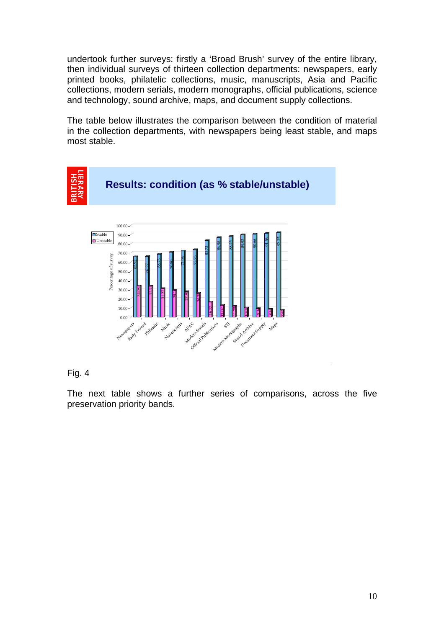undertook further surveys: firstly a 'Broad Brush' survey of the entire library, then individual surveys of thirteen collection departments: newspapers, early printed books, philatelic collections, music, manuscripts, Asia and Pacific collections, modern serials, modern monographs, official publications, science and technology, sound archive, maps, and document supply collections.

The table below illustrates the comparison between the condition of material in the collection departments, with newspapers being least stable, and maps most stable.



# Fig. 4

The next table shows a further series of comparisons, across the five preservation priority bands.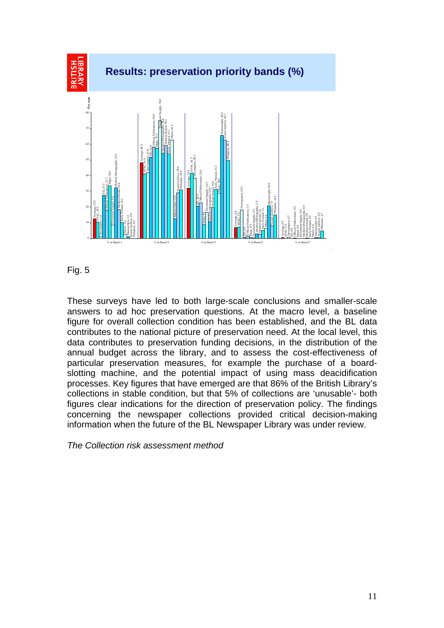

Fig. 5

These surveys have led to both large-scale conclusions and smaller-scale answers to ad hoc preservation questions. At the macro level, a baseline figure for overall collection condition has been established, and the BL data contributes to the national picture of preservation need. At the local level, this data contributes to preservation funding decisions, in the distribution of the annual budget across the library, and to assess the cost-effectiveness of particular preservation measures, for example the purchase of a boardslotting machine, and the potential impact of using mass deacidification processes. Key figures that have emerged are that 86% of the British Library's collections in stable condition, but that 5% of collections are 'unusable'- both figures clear indications for the direction of preservation policy. The findings concerning the newspaper collections provided critical decision-making information when the future of the BL Newspaper Library was under review.

*The Collection risk assessment method*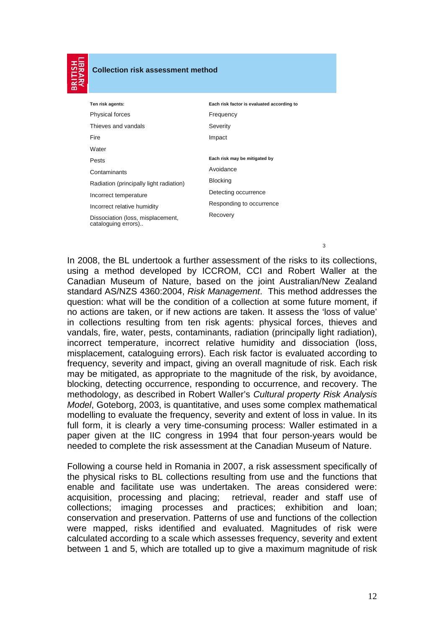| −<br>╾ | - |
|--------|---|
|        |   |
|        |   |
|        |   |
|        |   |
|        |   |
|        |   |
|        |   |

#### **Collection risk assessment method**

| Ten risk agents:                                         | Each risk factor is evaluated according to |
|----------------------------------------------------------|--------------------------------------------|
| <b>Physical forces</b>                                   | Frequency                                  |
| Thieves and vandals                                      | Severity                                   |
| Fire                                                     | Impact                                     |
| Water                                                    |                                            |
| Pests                                                    | Each risk may be mitigated by              |
| Contaminants                                             | Avoidance                                  |
| Radiation (principally light radiation)                  | <b>Blocking</b>                            |
| Incorrect temperature                                    | Detecting occurrence                       |
| Incorrect relative humidity                              | Responding to occurrence                   |
| Dissociation (loss, misplacement,<br>cataloguing errors) | Recovery                                   |

3

 In 2008, the BL undertook a further assessment of the risks to its collections, using a method developed by ICCROM, CCI and Robert Waller at the Canadian Museum of Nature, based on the joint Australian/New Zealand standard AS/NZS 4360:2004, *Risk Management*. This method addresses the question: what will be the condition of a collection at some future moment, if no actions are taken, or if new actions are taken. It assess the 'loss of value' in collections resulting from ten risk agents: physical forces, thieves and vandals, fire, water, pests, contaminants, radiation (principally light radiation), incorrect temperature, incorrect relative humidity and dissociation (loss, misplacement, cataloguing errors). Each risk factor is evaluated according to frequency, severity and impact, giving an overall magnitude of risk. Each risk may be mitigated, as appropriate to the magnitude of the risk, by avoidance, blocking, detecting occurrence, responding to occurrence, and recovery. The methodology, as described in Robert Waller's *Cultural property Risk Analysis Model*, Goteborg, 2003, is quantitative, and uses some complex mathematical modelling to evaluate the frequency, severity and extent of loss in value. In its full form, it is clearly a very time-consuming process: Waller estimated in a paper given at the IIC congress in 1994 that four person-years would be needed to complete the risk assessment at the Canadian Museum of Nature.

Following a course held in Romania in 2007, a risk assessment specifically of the physical risks to BL collections resulting from use and the functions that enable and facilitate use was undertaken. The areas considered were: acquisition, processing and placing; retrieval, reader and staff use of collections; imaging processes and practices; exhibition and loan; conservation and preservation. Patterns of use and functions of the collection were mapped, risks identified and evaluated. Magnitudes of risk were calculated according to a scale which assesses frequency, severity and extent between 1 and 5, which are totalled up to give a maximum magnitude of risk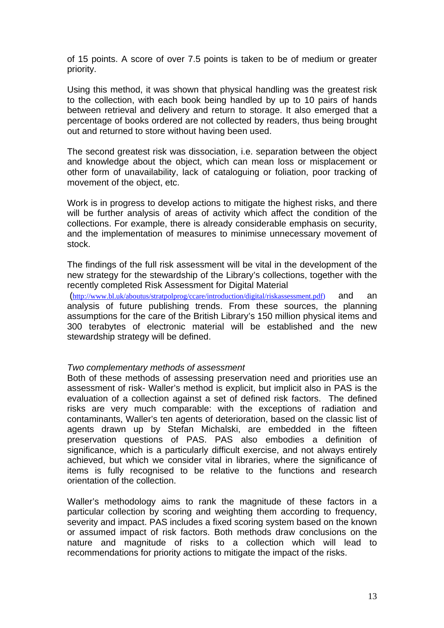of 15 points. A score of over 7.5 points is taken to be of medium or greater priority.

Using this method, it was shown that physical handling was the greatest risk to the collection, with each book being handled by up to 10 pairs of hands between retrieval and delivery and return to storage. It also emerged that a percentage of books ordered are not collected by readers, thus being brought out and returned to store without having been used.

The second greatest risk was dissociation, i.e. separation between the object and knowledge about the object, which can mean loss or misplacement or other form of unavailability, lack of cataloguing or foliation, poor tracking of movement of the object, etc.

Work is in progress to develop actions to mitigate the highest risks, and there will be further analysis of areas of activity which affect the condition of the collections. For example, there is already considerable emphasis on security, and the implementation of measures to minimise unnecessary movement of stock.

The findings of the full risk assessment will be vital in the development of the new strategy for the stewardship of the Library's collections, together with the recently completed Risk Assessment for Digital Material

(http://www.bl.uk/aboutus/stratpolprog/ccare/introduction/digital/riskassessment.pdf) and an analysis of future publishing trends. From these sources, the planning assumptions for the care of the British Library's 150 million physical items and 300 terabytes of electronic material will be established and the new stewardship strategy will be defined.

## *Two complementary methods of assessment*

Both of these methods of assessing preservation need and priorities use an assessment of risk- Waller's method is explicit, but implicit also in PAS is the evaluation of a collection against a set of defined risk factors. The defined risks are very much comparable: with the exceptions of radiation and contaminants, Waller's ten agents of deterioration, based on the classic list of agents drawn up by Stefan Michalski, are embedded in the fifteen preservation questions of PAS. PAS also embodies a definition of significance, which is a particularly difficult exercise, and not always entirely achieved, but which we consider vital in libraries, where the significance of items is fully recognised to be relative to the functions and research orientation of the collection.

Waller's methodology aims to rank the magnitude of these factors in a particular collection by scoring and weighting them according to frequency, severity and impact. PAS includes a fixed scoring system based on the known or assumed impact of risk factors. Both methods draw conclusions on the nature and magnitude of risks to a collection which will lead to recommendations for priority actions to mitigate the impact of the risks.